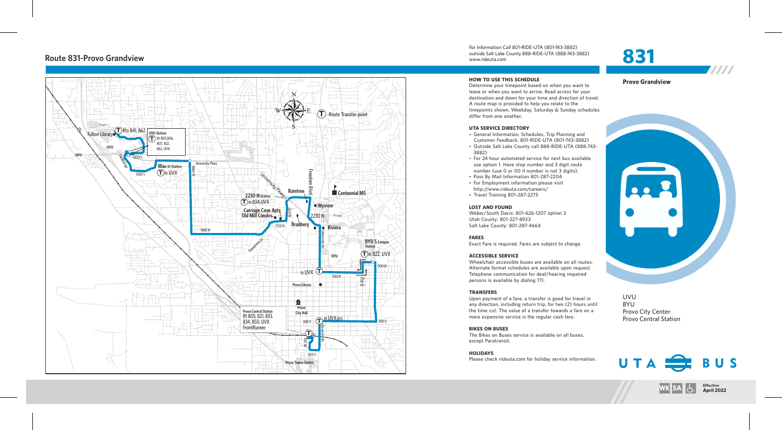## **Route 831-P r o vo Grandvie w**



For Information Call 801-RIDE-UTA (801-743-3882) outside Salt Lake County 888-RIDE-UTA (888-743-3882) www.rideuta. com

## **HOW TO USE THIS SCHEDULE**

Determine your timepoint based on when you want leave or when you want to arrive. Read across for your destination and down for your time and direction of travel. A route map is provided to help you relate to the timepoints shown. Weekday, Saturday & Sunday schedules differ from one another.

### **UTA SERVICE DIRECTO RY**

- General Information, Schedules, Trip Planning and Customer Feedback: 801-RIDE-UTA (801-743-3882)
- Outside Salt Lake County call 888-RIDE-UTA (888-743-3 8 8 2 )
- For 24 hour automated service for next bus available use option 1. Have stop number and 3 digit route number (use 0 or 00 if number is not 3 digits).
- Pass By Mail Information 801-287-2204
- For Employment information please visit<br>http://www.rideuta.com/careers/
- Travel Training 801-287-2275

## **LOST AND FOUND**

Weber/South Davis: 801-626-1207 option 3 Utah County: 801-227-8923 Salt Lake County: 801-287-4664

## **FARES**

Exact Fare is required. Fares are subject to change.

## **ACCESSIBLE SERVICE**

Wheelchair accessible buses are available on all routes. Alternate format schedules are available upon request. Telephone communication for deaf/hearing impaired persons is available by dialing 711.

### **TRANSFERS**

Upon payment of a fare, a transfer is good for travel in<br>any direction, including return trip, for two (2) hours until the time cut. The value of a transfer towards a fare on a more expensive service is the regular cash fare.

## **BIKES ON BUSES**

The Bikes on Buses service is available on all buses, except Paratransit.

**HOLIDAYS** Please check rideuta.com for holiday service information.



7777